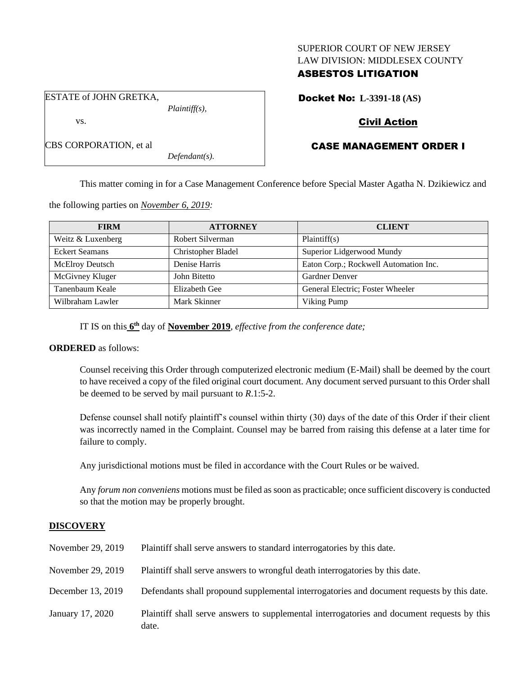### SUPERIOR COURT OF NEW JERSEY LAW DIVISION: MIDDLESEX COUNTY

## ASBESTOS LITIGATION

Docket No: **L-3391-18 (AS)**

ESTATE of JOHN GRETKA,

CBS CORPORATION, et al

vs.

*Plaintiff(s),*

*Defendant(s).*

# Civil Action

# CASE MANAGEMENT ORDER I

This matter coming in for a Case Management Conference before Special Master Agatha N. Dzikiewicz and

the following parties on *November 6, 2019:*

| <b>FIRM</b>           | <b>ATTORNEY</b>    | <b>CLIENT</b>                         |
|-----------------------|--------------------|---------------------------------------|
| Weitz & Luxenberg     | Robert Silverman   | Plaintiff(s)                          |
| <b>Eckert Seamans</b> | Christopher Bladel | Superior Lidgerwood Mundy             |
| McElroy Deutsch       | Denise Harris      | Eaton Corp.; Rockwell Automation Inc. |
| McGivney Kluger       | John Bitetto       | Gardner Denver                        |
| Tanenbaum Keale       | Elizabeth Gee      | General Electric; Foster Wheeler      |
| Wilbraham Lawler      | Mark Skinner       | Viking Pump                           |

IT IS on this  $6<sup>th</sup>$  day of **November 2019**, *effective from the conference date*;

## **ORDERED** as follows:

Counsel receiving this Order through computerized electronic medium (E-Mail) shall be deemed by the court to have received a copy of the filed original court document. Any document served pursuant to this Order shall be deemed to be served by mail pursuant to *R*.1:5-2.

Defense counsel shall notify plaintiff's counsel within thirty (30) days of the date of this Order if their client was incorrectly named in the Complaint. Counsel may be barred from raising this defense at a later time for failure to comply.

Any jurisdictional motions must be filed in accordance with the Court Rules or be waived.

Any *forum non conveniens* motions must be filed as soon as practicable; once sufficient discovery is conducted so that the motion may be properly brought.

## **DISCOVERY**

| November 29, 2019 | Plaintiff shall serve answers to standard interrogatories by this date.                              |
|-------------------|------------------------------------------------------------------------------------------------------|
| November 29, 2019 | Plaintiff shall serve answers to wrongful death interrogatories by this date.                        |
| December 13, 2019 | Defendants shall propound supplemental interrogatories and document requests by this date.           |
| January 17, 2020  | Plaintiff shall serve answers to supplemental interrogatories and document requests by this<br>date. |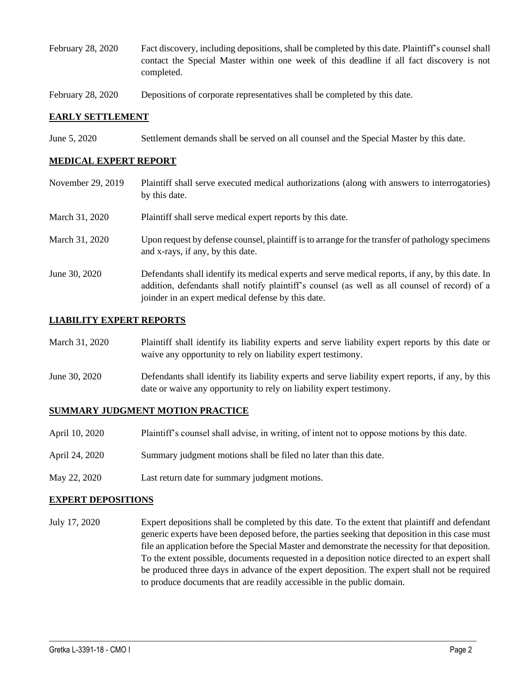- February 28, 2020 Fact discovery, including depositions, shall be completed by this date. Plaintiff's counsel shall contact the Special Master within one week of this deadline if all fact discovery is not completed.
- February 28, 2020 Depositions of corporate representatives shall be completed by this date.

### **EARLY SETTLEMENT**

June 5, 2020 Settlement demands shall be served on all counsel and the Special Master by this date.

### **MEDICAL EXPERT REPORT**

- November 29, 2019 Plaintiff shall serve executed medical authorizations (along with answers to interrogatories) by this date.
- March 31, 2020 Plaint if shall serve medical expert reports by this date.
- March 31, 2020 Upon request by defense counsel, plaintiff is to arrange for the transfer of pathology specimens and x-rays, if any, by this date.
- June 30, 2020 Defendants shall identify its medical experts and serve medical reports, if any, by this date. In addition, defendants shall notify plaintiff's counsel (as well as all counsel of record) of a joinder in an expert medical defense by this date.

#### **LIABILITY EXPERT REPORTS**

| March 31, 2020 | Plaintiff shall identify its liability experts and serve liability expert reports by this date or<br>waive any opportunity to rely on liability expert testimony.           |
|----------------|-----------------------------------------------------------------------------------------------------------------------------------------------------------------------------|
| June 30, 2020  | Defendants shall identify its liability experts and serve liability expert reports, if any, by this<br>date or waive any opportunity to rely on liability expert testimony. |

#### **SUMMARY JUDGMENT MOTION PRACTICE**

- April 10, 2020 Plaintiff's counsel shall advise, in writing, of intent not to oppose motions by this date.
- April 24, 2020 Summary judgment motions shall be filed no later than this date.
- May 22, 2020 Last return date for summary judgment motions.

#### **EXPERT DEPOSITIONS**

July 17, 2020 Expert depositions shall be completed by this date. To the extent that plaintiff and defendant generic experts have been deposed before, the parties seeking that deposition in this case must file an application before the Special Master and demonstrate the necessity for that deposition. To the extent possible, documents requested in a deposition notice directed to an expert shall be produced three days in advance of the expert deposition. The expert shall not be required to produce documents that are readily accessible in the public domain.

 $\_$  , and the set of the set of the set of the set of the set of the set of the set of the set of the set of the set of the set of the set of the set of the set of the set of the set of the set of the set of the set of th